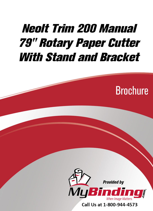# Neolt Trim 200 Manual 79" Rotary Paper Cutter With Stand and Bracket





Call Us at 1-800-944-4573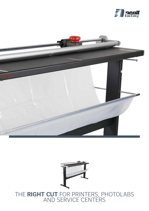





## THE **RIGHT CUT** FOR PRINTERS, PHOTOLABS AND SERVICE CENTERS